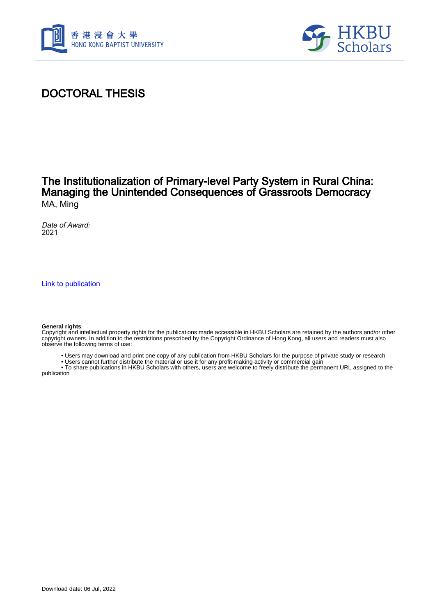



# DOCTORAL THESIS

### The Institutionalization of Primary-level Party System in Rural China: Managing the Unintended Consequences of Grassroots Democracy MA, Ming

Date of Award: 2021

[Link to publication](https://scholars.hkbu.edu.hk/en/studentTheses/f17686e2-a45c-4bfb-8b33-aaa69570c5b2)

#### **General rights**

Copyright and intellectual property rights for the publications made accessible in HKBU Scholars are retained by the authors and/or other copyright owners. In addition to the restrictions prescribed by the Copyright Ordinance of Hong Kong, all users and readers must also observe the following terms of use:

- Users may download and print one copy of any publication from HKBU Scholars for the purpose of private study or research
- Users cannot further distribute the material or use it for any profit-making activity or commercial gain

 • To share publications in HKBU Scholars with others, users are welcome to freely distribute the permanent URL assigned to the publication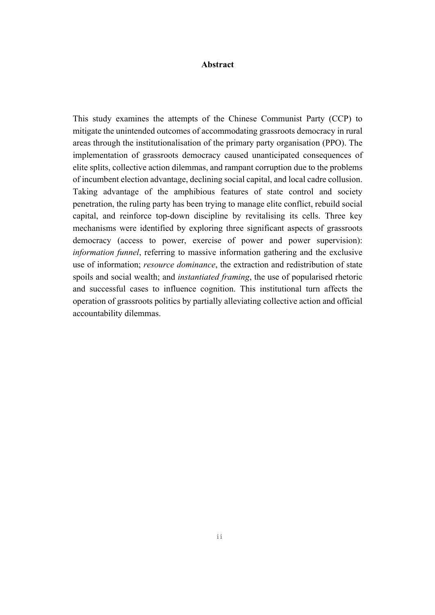### **Abstract**

This study examines the attempts of the Chinese Communist Party (CCP) to mitigate the unintended outcomes of accommodating grassroots democracy in rural areas through the institutionalisation of the primary party organisation (PPO). The implementation of grassroots democracy caused unanticipated consequences of elite splits, collective action dilemmas, and rampant corruption due to the problems of incumbent election advantage, declining social capital, and local cadre collusion. Taking advantage of the amphibious features of state control and society penetration, the ruling party has been trying to manage elite conflict, rebuild social capital, and reinforce top-down discipline by revitalising its cells. Three key mechanisms were identified by exploring three significant aspects of grassroots democracy (access to power, exercise of power and power supervision): *information funnel*, referring to massive information gathering and the exclusive use of information; *resource dominance*, the extraction and redistribution of state spoils and social wealth; and *instantiated framing*, the use of popularised rhetoric and successful cases to influence cognition. This institutional turn affects the operation of grassroots politics by partially alleviating collective action and official accountability dilemmas.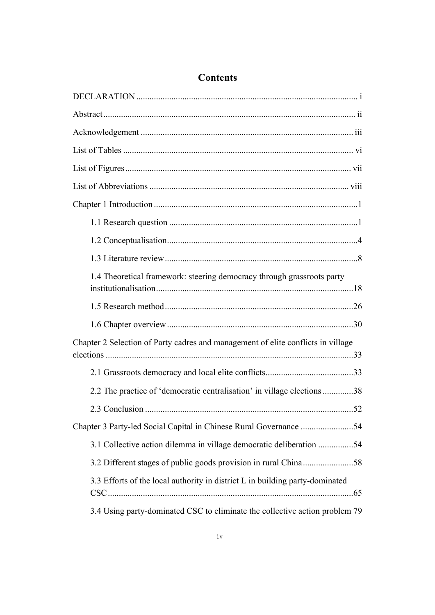| 1.4 Theoretical framework: steering democracy through grassroots party           |  |
|----------------------------------------------------------------------------------|--|
|                                                                                  |  |
|                                                                                  |  |
| Chapter 2 Selection of Party cadres and management of elite conflicts in village |  |
|                                                                                  |  |
| 2.2 The practice of 'democratic centralisation' in village elections38           |  |
|                                                                                  |  |
| Chapter 3 Party-led Social Capital in Chinese Rural Governance 54                |  |
| 3.1 Collective action dilemma in village democratic deliberation 54              |  |
| 3.2 Different stages of public goods provision in rural China58                  |  |
| 3.3 Efforts of the local authority in district L in building party-dominated     |  |
| 3.4 Using party-dominated CSC to eliminate the collective action problem 79      |  |

## **Contents**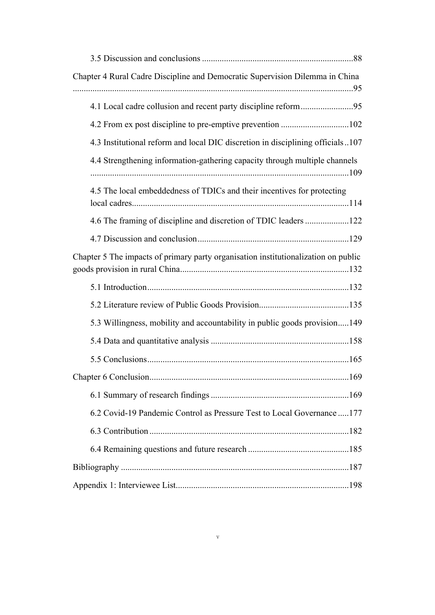| Chapter 4 Rural Cadre Discipline and Democratic Supervision Dilemma in China       |  |
|------------------------------------------------------------------------------------|--|
| 4.1 Local cadre collusion and recent party discipline reform95                     |  |
|                                                                                    |  |
| 4.3 Institutional reform and local DIC discretion in disciplining officials107     |  |
| 4.4 Strengthening information-gathering capacity through multiple channels         |  |
| 4.5 The local embeddedness of TDICs and their incentives for protecting            |  |
| 4.6 The framing of discipline and discretion of TDIC leaders 122                   |  |
|                                                                                    |  |
| Chapter 5 The impacts of primary party organisation institutionalization on public |  |
|                                                                                    |  |
|                                                                                    |  |
| 5.3 Willingness, mobility and accountability in public goods provision149          |  |
|                                                                                    |  |
|                                                                                    |  |
| 169                                                                                |  |
|                                                                                    |  |
| 6.2 Covid-19 Pandemic Control as Pressure Test to Local Governance  177            |  |
|                                                                                    |  |
|                                                                                    |  |
|                                                                                    |  |
|                                                                                    |  |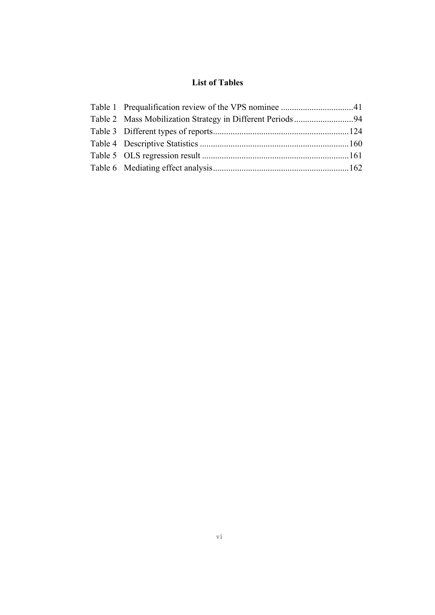### **List of Tables**